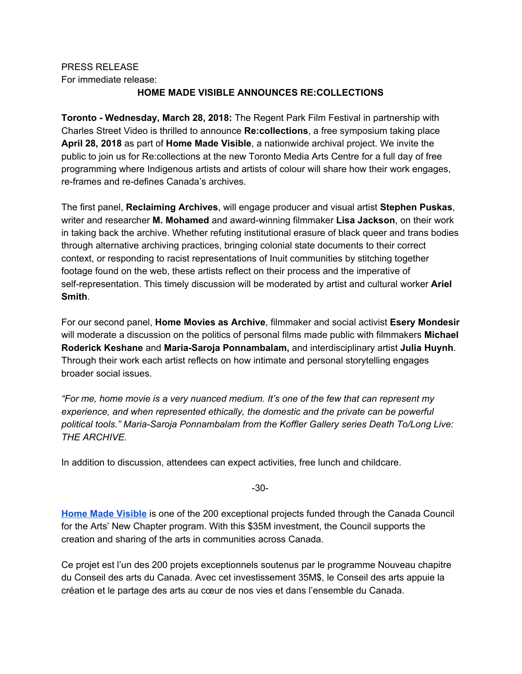# PRESS RELEASE For immediate release:

## **HOME MADE VISIBLE ANNOUNCES RE:COLLECTIONS**

**Toronto - Wednesday, March 28, 2018:** The Regent Park Film Festival in partnership with Charles Street Video is thrilled to announce **Re:collections**, a free symposium taking place **April 28, 2018** as part of **Home Made Visible**, a nationwide archival project. We invite the public to join us for Re:collections at the new Toronto Media Arts Centre for a full day of free programming where Indigenous artists and artists of colour will share how their work engages, re-frames and re-defines Canada's archives.

The first panel, **Reclaiming Archives**, will engage producer and visual artist **Stephen Puskas**, writer and researcher **M. Mohamed** and award-winning filmmaker **Lisa Jackson**, on their work in taking back the archive. Whether refuting institutional erasure of black queer and trans bodies through alternative archiving practices, bringing colonial state documents to their correct context, or responding to racist representations of Inuit communities by stitching together footage found on the web, these artists reflect on their process and the imperative of self-representation. This timely discussion will be moderated by artist and cultural worker **Ariel Smith**.

For our second panel, **Home Movies as Archive**, filmmaker and social activist **Esery Mondesir** will moderate a discussion on the politics of personal films made public with filmmakers **Michael Roderick Keshane** and **Maria-Saroja Ponnambalam,** and interdisciplinary artist **Julia Huynh**. Through their work each artist reflects on how intimate and personal storytelling engages broader social issues.

*"For me, home movie is a very nuanced medium. It's one of the few that can represent my experience, and when represented ethically, the domestic and the private can be powerful political tools." Maria-Saroja Ponnambalam from the Koffler Gallery series Death To/Long Live: THE ARCHIVE.*

In addition to discussion, attendees can expect activities, free lunch and childcare.

-30-

**Home Made [Visible](http://www.homemadevisible.ca/)** is one of the 200 exceptional projects funded through the Canada Council for the Arts' New Chapter program. With this \$35M investment, the Council supports the creation and sharing of the arts in communities across Canada.

Ce projet est l'un des 200 projets exceptionnels soutenus par le programme Nouveau chapitre du Conseil des arts du Canada. Avec cet investissement 35M\$, le Conseil des arts appuie la création et le partage des arts au cœur de nos vies et dans l'ensemble du Canada.